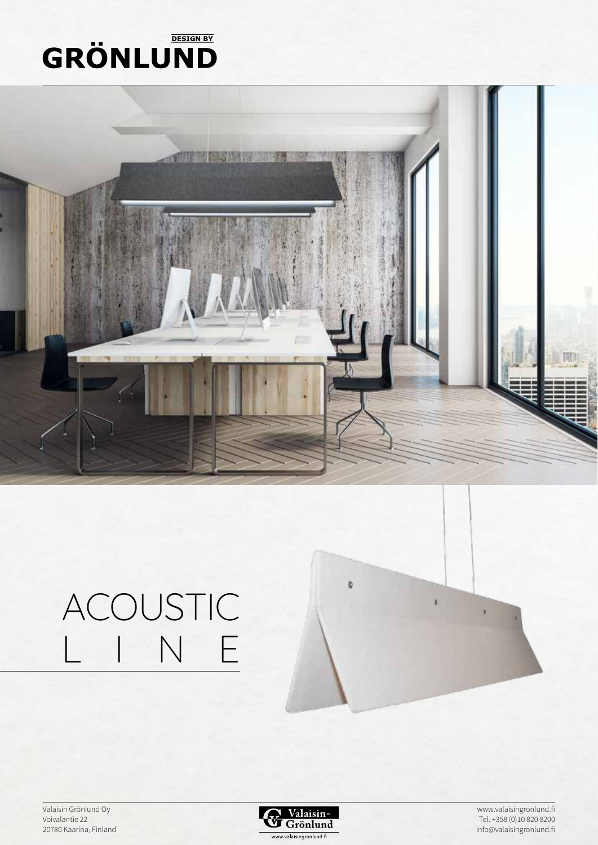# **GRÖNLUND**



## ACOUSTIC<br>L I N E  $N$

Valaisin Grönlund Oy Voivalantie 22 20780 Kaarina, Finland



b

www.valaisingronlund.fi Tel. +358 (0)10 820 8200 info@valaisingronlund.fi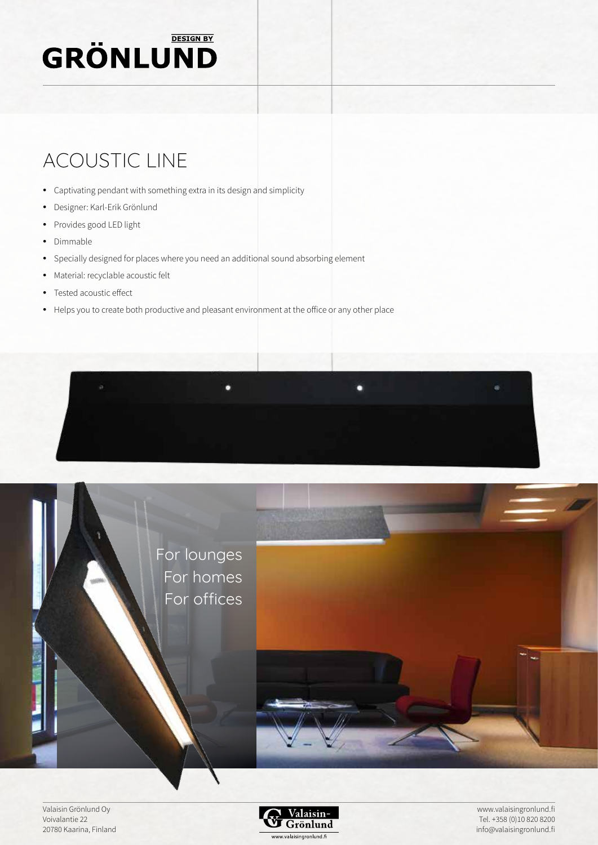## **GRÖNLUND**

### ACOUSTIC LINE

- Captivating pendant with something extra in its design and simplicity
- Designer: Karl-Erik Grönlund
- Provides good LED light
- Dimmable
- Specially designed for places where you need an additional sound absorbing element
- Material: recyclable acoustic felt
- Tested acoustic effect
- Helps you to create both productive and pleasant environment at the office or any other place





Valaisin Grönlund Oy Voivalantie 22 20780 Kaarina, Finland



www.valaisingronlund.fi Tel. +358 (0)10 820 8200 info@valaisingronlund.fi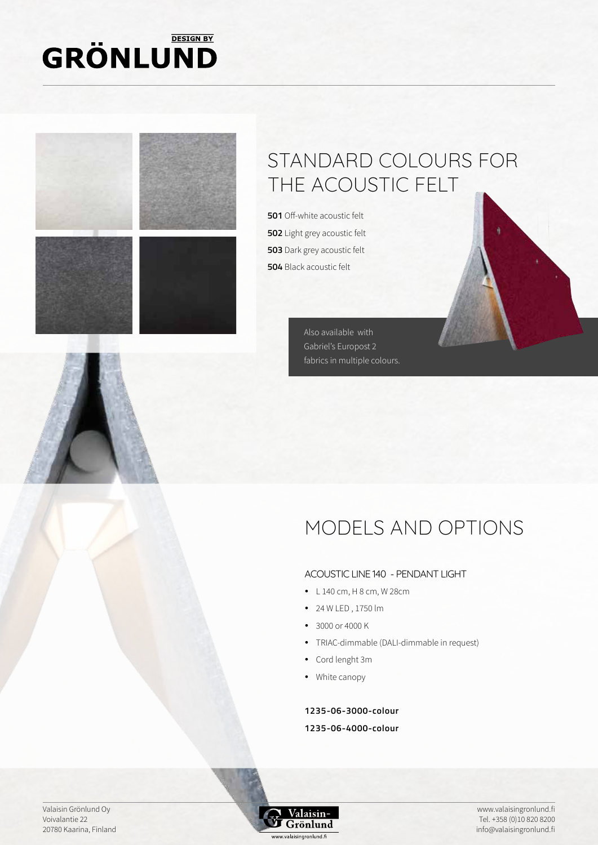#### **DESIGN BY GRÖNLUND**





### STANDARD COLOURS FOR THE ACOUSTIC FELT

 Off-white acoustic felt Light grey acoustic felt Dark grey acoustic felt Black acoustic felt

> Also available with Gabriel's Europost 2 fabrics in multiple colours.

### MODELS AND OPTIONS

#### ACOUSTIC LINE 140 - PENDANT LIGHT

- $\bullet$  L 140 cm, H 8 cm, W 28 cm
- y 24 W LED , 1750 lm
- 3000 or 4000 K
- TRIAC-dimmable (DALI-dimmable in request)
- Cord lenght 3m
- White canopy

**1235-06-3000-colour**

#### **1235-06-4000-colour**

Valaisin Grönlund Oy Voivalantie 22 20780 Kaarina, Finland

Valaisin  $\mathbf J$  Grönlund www.valaisingronlund.fi

www.valaisingronlund.fi Tel. +358 (0)10 820 8200 info@valaisingronlund.fi